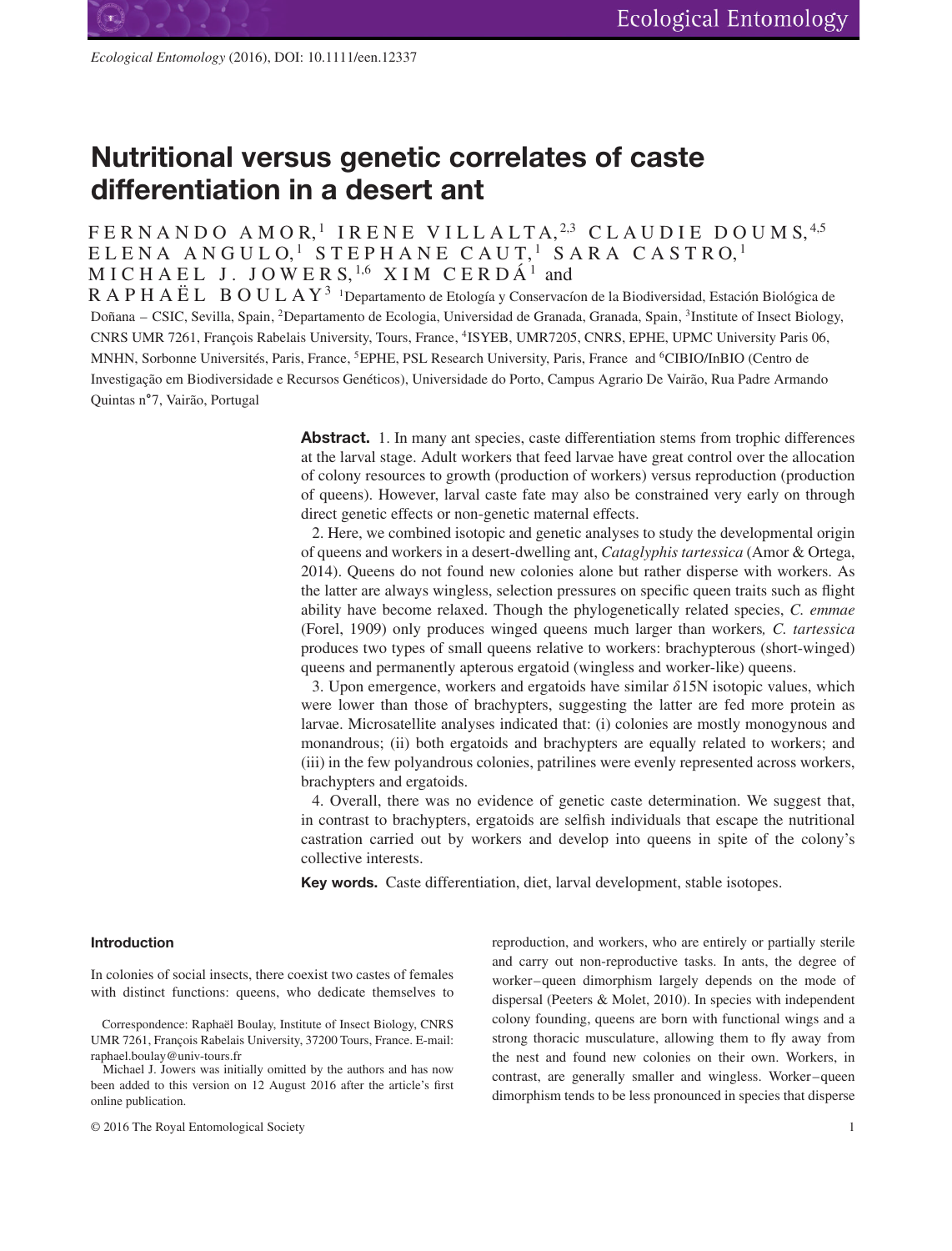# **Nutritional versus genetic correlates of caste differentiation in a desert ant**

# FERNANDO AMOR<sup>1</sup> IRENE VILLALTA.<sup>2,3</sup> CLAUDIE DOUMS.<sup>4,5</sup>  $\texttt{ELENA}$  ANGULO, $^1$  STEPHANE CAUT, $^1$  SARA CASTRO, $^1$ M I C H A E L J . J O W E R S, <sup>1</sup>*,*<sup>6</sup> XIM CERDÁ <sup>1</sup> and

 $R$  A P H A Ë L B O U L A Y<sup>3</sup> <sup>1</sup>Departamento de Etología y Conservacíon de la Biodiversidad, Estación Biológica de Doñana – CSIC, Sevilla, Spain, 2Departamento de Ecologia, Universidad de Granada, Granada, Spain, 3Institute of Insect Biology, CNRS UMR 7261, François Rabelais University, Tours, France, 4ISYEB, UMR7205, CNRS, EPHE, UPMC University Paris 06, MNHN, Sorbonne Universités, Paris, France, 5EPHE, PSL Research University, Paris, France and 6CIBIO/InBIO (Centro de Investigação em Biodiversidade e Recursos Genéticos), Universidade do Porto, Campus Agrario De Vairão, Rua Padre Armando Quintas n∘7, Vairão, Portugal

> **Abstract.** 1. In many ant species, caste differentiation stems from trophic differences at the larval stage. Adult workers that feed larvae have great control over the allocation of colony resources to growth (production of workers) versus reproduction (production of queens). However, larval caste fate may also be constrained very early on through direct genetic effects or non-genetic maternal effects.

> 2. Here, we combined isotopic and genetic analyses to study the developmental origin of queens and workers in a desert-dwelling ant, *Cataglyphis tartessica* (Amor & Ortega, 2014). Queens do not found new colonies alone but rather disperse with workers. As the latter are always wingless, selection pressures on specific queen traits such as flight ability have become relaxed. Though the phylogenetically related species, *C. emmae* (Forel, 1909) only produces winged queens much larger than workers*, C. tartessica* produces two types of small queens relative to workers: brachypterous (short-winged) queens and permanently apterous ergatoid (wingless and worker-like) queens.

> 3. Upon emergence, workers and ergatoids have similar  $\delta$ 15N isotopic values, which were lower than those of brachypters, suggesting the latter are fed more protein as larvae. Microsatellite analyses indicated that: (i) colonies are mostly monogynous and monandrous; (ii) both ergatoids and brachypters are equally related to workers; and (iii) in the few polyandrous colonies, patrilines were evenly represented across workers, brachypters and ergatoids.

> 4. Overall, there was no evidence of genetic caste determination. We suggest that, in contrast to brachypters, ergatoids are selfish individuals that escape the nutritional castration carried out by workers and develop into queens in spite of the colony's collective interests.

**Key words.** Caste differentiation, diet, larval development, stable isotopes.

# **Introduction**

In colonies of social insects, there coexist two castes of females with distinct functions: queens, who dedicate themselves to

Correspondence: Raphaël Boulay, Institute of Insect Biology, CNRS UMR 7261, François Rabelais University, 37200 Tours, France. E-mail: raphael.boulay@univ-tours.fr

Michael J. Jowers was initially omitted by the authors and has now been added to this version on 12 August 2016 after the article's first online publication.

© 2016 The Royal Entomological Society 1

reproduction, and workers, who are entirely or partially sterile and carry out non-reproductive tasks. In ants, the degree of worker–queen dimorphism largely depends on the mode of dispersal (Peeters & Molet, 2010). In species with independent colony founding, queens are born with functional wings and a strong thoracic musculature, allowing them to fly away from the nest and found new colonies on their own. Workers, in contrast, are generally smaller and wingless. Worker–queen dimorphism tends to be less pronounced in species that disperse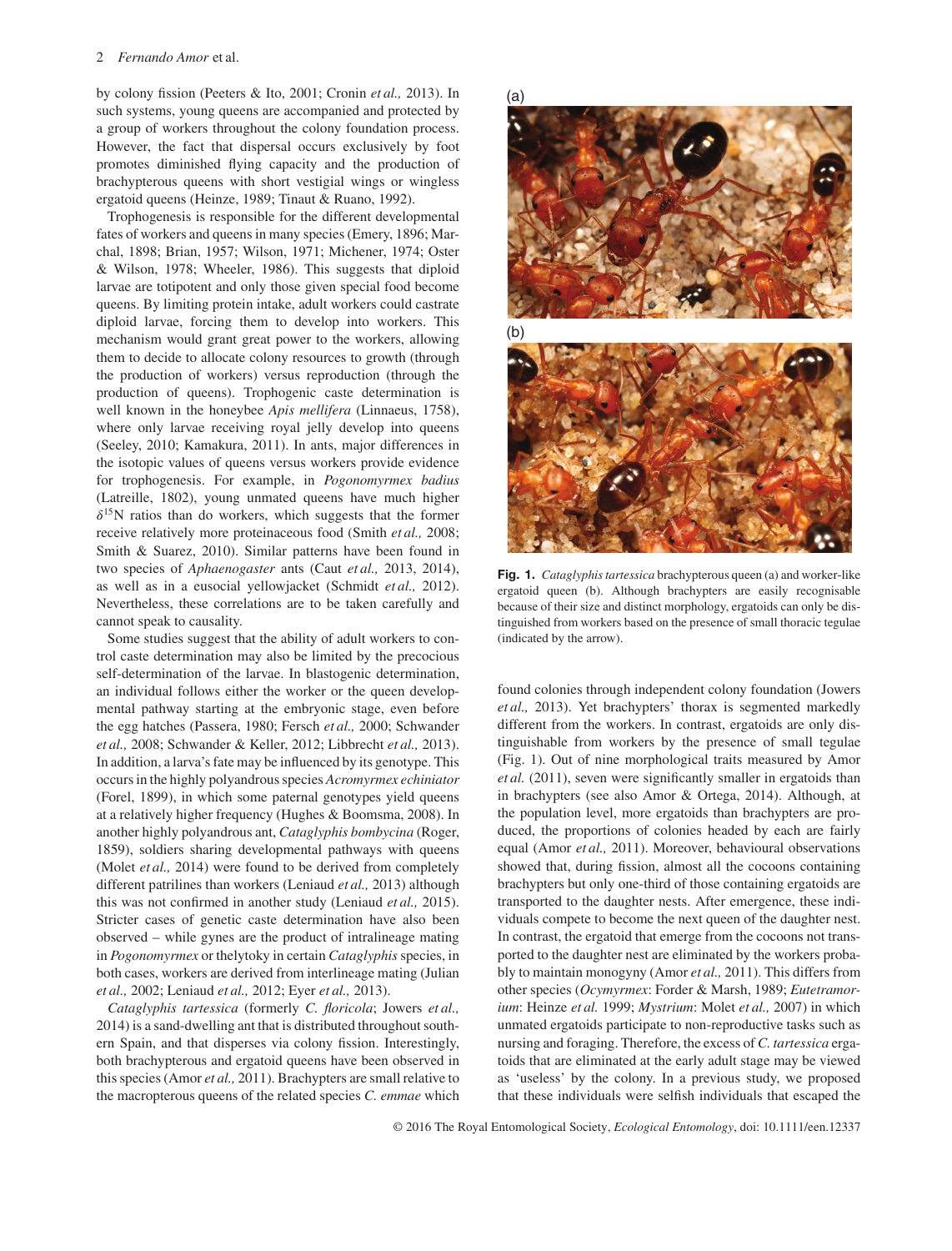by colony fission (Peeters & Ito, 2001; Cronin *et al.,* 2013). In such systems, young queens are accompanied and protected by a group of workers throughout the colony foundation process. However, the fact that dispersal occurs exclusively by foot promotes diminished flying capacity and the production of brachypterous queens with short vestigial wings or wingless ergatoid queens (Heinze, 1989; Tinaut & Ruano, 1992).

Trophogenesis is responsible for the different developmental fates of workers and queens in many species (Emery, 1896; Marchal, 1898; Brian, 1957; Wilson, 1971; Michener, 1974; Oster & Wilson, 1978; Wheeler, 1986). This suggests that diploid larvae are totipotent and only those given special food become queens. By limiting protein intake, adult workers could castrate diploid larvae, forcing them to develop into workers. This mechanism would grant great power to the workers, allowing them to decide to allocate colony resources to growth (through the production of workers) versus reproduction (through the production of queens). Trophogenic caste determination is well known in the honeybee *Apis mellifera* (Linnaeus, 1758), where only larvae receiving royal jelly develop into queens (Seeley, 2010; Kamakura, 2011). In ants, major differences in the isotopic values of queens versus workers provide evidence for trophogenesis. For example, in *Pogonomyrmex badius* (Latreille, 1802), young unmated queens have much higher  $\delta^{15}$ N ratios than do workers, which suggests that the former receive relatively more proteinaceous food (Smith *et al.,* 2008; Smith & Suarez, 2010). Similar patterns have been found in two species of *Aphaenogaster* ants (Caut *et al.,* 2013, 2014), as well as in a eusocial yellowjacket (Schmidt *et al.,* 2012). Nevertheless, these correlations are to be taken carefully and cannot speak to causality.

Some studies suggest that the ability of adult workers to control caste determination may also be limited by the precocious self-determination of the larvae. In blastogenic determination, an individual follows either the worker or the queen developmental pathway starting at the embryonic stage, even before the egg hatches (Passera, 1980; Fersch *et al.,* 2000; Schwander *et al.,* 2008; Schwander & Keller, 2012; Libbrecht *et al.,* 2013). In addition, a larva's fate may be influenced by its genotype. This occurs in the highly polyandrous species *Acromyrmex echiniator* (Forel, 1899), in which some paternal genotypes yield queens at a relatively higher frequency (Hughes & Boomsma, 2008). In another highly polyandrous ant, *Cataglyphis bombycina* (Roger, 1859), soldiers sharing developmental pathways with queens (Molet *et al.,* 2014) were found to be derived from completely different patrilines than workers (Leniaud *et al.,* 2013) although this was not confirmed in another study (Leniaud *et al.,* 2015). Stricter cases of genetic caste determination have also been observed – while gynes are the product of intralineage mating in *Pogonomyrmex* or thelytoky in certain *Cataglyphis* species, in both cases, workers are derived from interlineage mating (Julian *et al.,* 2002; Leniaud *et al.,* 2012; Eyer *et al.,* 2013).

*Cataglyphis tartessica* (formerly *C. floricola*; Jowers *et al.,* 2014) is a sand-dwelling ant that is distributed throughout southern Spain, and that disperses via colony fission. Interestingly, both brachypterous and ergatoid queens have been observed in this species (Amor *et al.,* 2011). Brachypters are small relative to the macropterous queens of the related species *C. emmae* which



**Fig. 1.** *Cataglyphis tartessica* brachypterous queen (a) and worker-like ergatoid queen (b). Although brachypters are easily recognisable because of their size and distinct morphology, ergatoids can only be distinguished from workers based on the presence of small thoracic tegulae (indicated by the arrow).

found colonies through independent colony foundation (Jowers *et al.,* 2013). Yet brachypters' thorax is segmented markedly different from the workers. In contrast, ergatoids are only distinguishable from workers by the presence of small tegulae (Fig. 1). Out of nine morphological traits measured by Amor *et al.* (2011), seven were significantly smaller in ergatoids than in brachypters (see also Amor & Ortega, 2014). Although, at the population level, more ergatoids than brachypters are produced, the proportions of colonies headed by each are fairly equal (Amor *et al.,* 2011). Moreover, behavioural observations showed that, during fission, almost all the cocoons containing brachypters but only one-third of those containing ergatoids are transported to the daughter nests. After emergence, these individuals compete to become the next queen of the daughter nest. In contrast, the ergatoid that emerge from the cocoons not transported to the daughter nest are eliminated by the workers probably to maintain monogyny (Amor *et al.,* 2011). This differs from other species (*Ocymyrmex*: Forder & Marsh, 1989; *Eutetramorium*: Heinze *et al.* 1999; *Mystrium*: Molet *et al.,* 2007) in which unmated ergatoids participate to non-reproductive tasks such as nursing and foraging. Therefore, the excess of *C. tartessica* ergatoids that are eliminated at the early adult stage may be viewed as 'useless' by the colony. In a previous study, we proposed that these individuals were selfish individuals that escaped the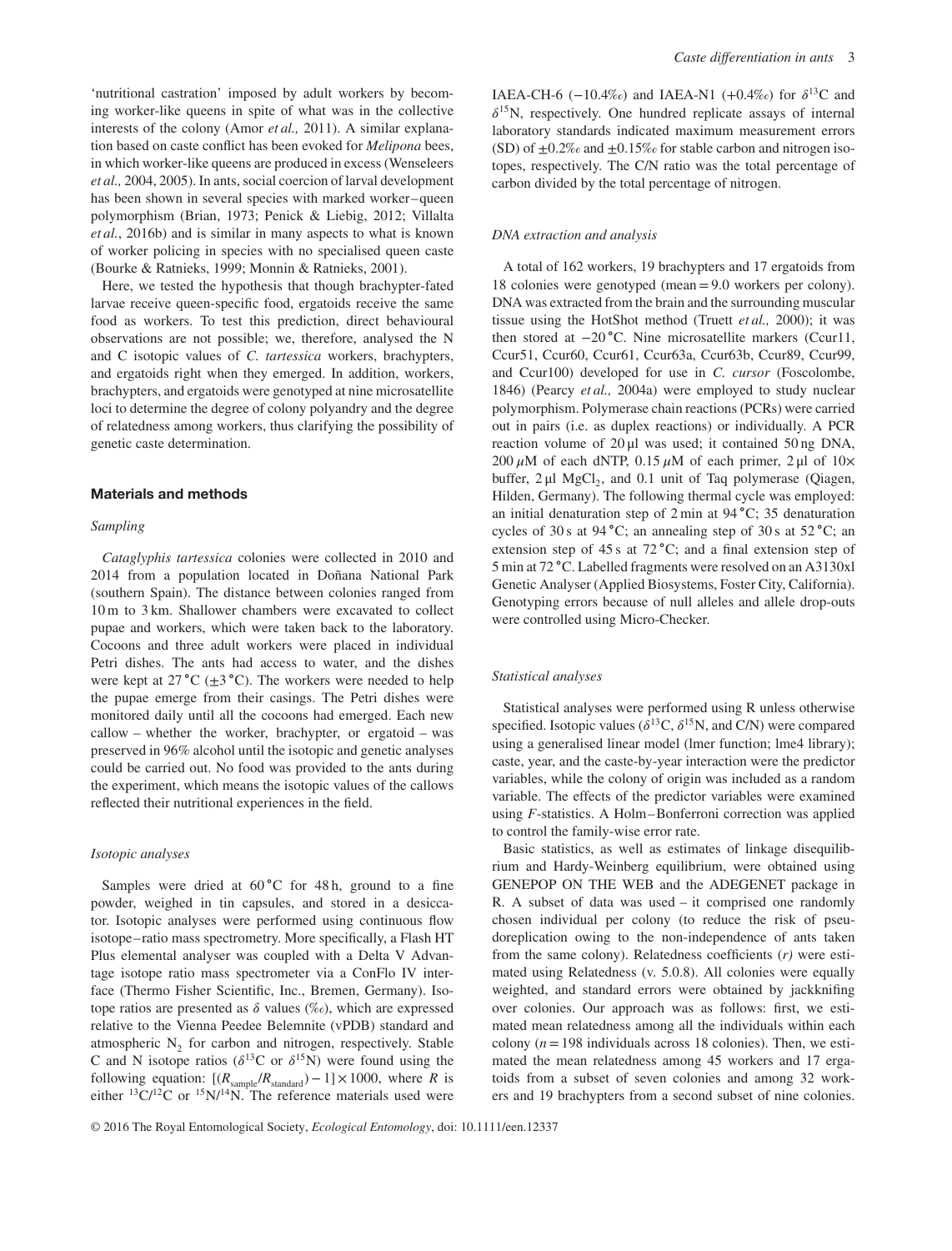'nutritional castration' imposed by adult workers by becoming worker-like queens in spite of what was in the collective interests of the colony (Amor *et al.,* 2011). A similar explanation based on caste conflict has been evoked for *Melipona* bees, in which worker-like queens are produced in excess (Wenseleers *et al.,* 2004, 2005). In ants, social coercion of larval development has been shown in several species with marked worker–queen polymorphism (Brian, 1973; Penick & Liebig, 2012; Villalta *et al.*, 2016b) and is similar in many aspects to what is known of worker policing in species with no specialised queen caste (Bourke & Ratnieks, 1999; Monnin & Ratnieks, 2001).

Here, we tested the hypothesis that though brachypter-fated larvae receive queen-specific food, ergatoids receive the same food as workers. To test this prediction, direct behavioural observations are not possible; we, therefore, analysed the N and C isotopic values of *C. tartessica* workers, brachypters, and ergatoids right when they emerged. In addition, workers, brachypters, and ergatoids were genotyped at nine microsatellite loci to determine the degree of colony polyandry and the degree of relatedness among workers, thus clarifying the possibility of genetic caste determination.

## **Materials and methods**

## *Sampling*

*Cataglyphis tartessica* colonies were collected in 2010 and 2014 from a population located in Doñana National Park (southern Spain). The distance between colonies ranged from 10 m to 3 km. Shallower chambers were excavated to collect pupae and workers, which were taken back to the laboratory. Cocoons and three adult workers were placed in individual Petri dishes. The ants had access to water, and the dishes were kept at 27 ∘C (±3 ∘C). The workers were needed to help the pupae emerge from their casings. The Petri dishes were monitored daily until all the cocoons had emerged. Each new callow – whether the worker, brachypter, or ergatoid – was preserved in 96% alcohol until the isotopic and genetic analyses could be carried out. No food was provided to the ants during the experiment, which means the isotopic values of the callows reflected their nutritional experiences in the field.

#### *Isotopic analyses*

Samples were dried at 60 °C for 48 h, ground to a fine powder, weighed in tin capsules, and stored in a desiccator. Isotopic analyses were performed using continuous flow isotope– ratio mass spectrometry. More specifically, a Flash HT Plus elemental analyser was coupled with a Delta V Advantage isotope ratio mass spectrometer via a ConFlo IV interface (Thermo Fisher Scientific, Inc., Bremen, Germany). Isotope ratios are presented as  $\delta$  values (‰), which are expressed relative to the Vienna Peedee Belemnite (vPDB) standard and atmospheric  $N<sub>2</sub>$  for carbon and nitrogen, respectively. Stable C and N isotope ratios ( $\delta^{13}$ C or  $\delta^{15}$ N) were found using the following equation:  $[(R_{sample}/R_{standard})-1] \times 1000$ , where *R* is either  $^{13}C/^{12}C$  or  $^{15}N/^{14}N$ . The reference materials used were

IAEA-CH-6 (-10.4‰) and IAEA-N1 (+0.4‰) for  $\delta^{13}C$  and  $\delta^{15}$ N, respectively. One hundred replicate assays of internal laboratory standards indicated maximum measurement errors (SD) of  $\pm 0.2\%$  and  $\pm 0.15\%$  for stable carbon and nitrogen isotopes, respectively. The C/N ratio was the total percentage of carbon divided by the total percentage of nitrogen.

#### *DNA extraction and analysis*

A total of 162 workers, 19 brachypters and 17 ergatoids from 18 colonies were genotyped (mean=9.0 workers per colony). DNA was extracted from the brain and the surrounding muscular tissue using the HotShot method (Truett *et al.,* 2000); it was then stored at −20 ∘C. Nine microsatellite markers (Ccur11, Ccur51, Ccur60, Ccur61, Ccur63a, Ccur63b, Ccur89, Ccur99, and Ccur100) developed for use in *C. cursor* (Foscolombe, 1846) (Pearcy *et al.,* 2004a) were employed to study nuclear polymorphism. Polymerase chain reactions (PCRs) were carried out in pairs (i.e. as duplex reactions) or individually. A PCR reaction volume of 20 μl was used; it contained 50 ng DNA, 200  $\mu$ M of each dNTP, 0.15  $\mu$ M of each primer, 2  $\mu$ l of 10 $\times$ buffer,  $2 \mu I$  MgCl<sub>2</sub>, and 0.1 unit of Taq polymerase (Qiagen, Hilden, Germany). The following thermal cycle was employed: an initial denaturation step of 2 min at 94 ∘C; 35 denaturation cycles of 30 s at 94 ∘C; an annealing step of 30 s at 52 ∘C; an extension step of 45 s at 72 ∘C; and a final extension step of 5 min at 72 ∘C. Labelled fragments were resolved on an A3130xl Genetic Analyser (Applied Biosystems, Foster City, California). Genotyping errors because of null alleles and allele drop-outs were controlled using Micro-Checker.

# *Statistical analyses*

Statistical analyses were performed using R unless otherwise specified. Isotopic values ( $\delta^{13}C$ ,  $\delta^{15}N$ , and C/N) were compared using a generalised linear model (lmer function; lme4 library); caste, year, and the caste-by-year interaction were the predictor variables, while the colony of origin was included as a random variable. The effects of the predictor variables were examined using *F*-statistics. A Holm–Bonferroni correction was applied to control the family-wise error rate.

Basic statistics, as well as estimates of linkage disequilibrium and Hardy-Weinberg equilibrium, were obtained using GENEPOP ON THE WEB and the ADEGENET package in R. A subset of data was used – it comprised one randomly chosen individual per colony (to reduce the risk of pseudoreplication owing to the non-independence of ants taken from the same colony). Relatedness coefficients (*r)* were estimated using Relatedness (v. 5.0.8). All colonies were equally weighted, and standard errors were obtained by jackknifing over colonies. Our approach was as follows: first, we estimated mean relatedness among all the individuals within each colony  $(n = 198$  individuals across 18 colonies). Then, we estimated the mean relatedness among 45 workers and 17 ergatoids from a subset of seven colonies and among 32 workers and 19 brachypters from a second subset of nine colonies.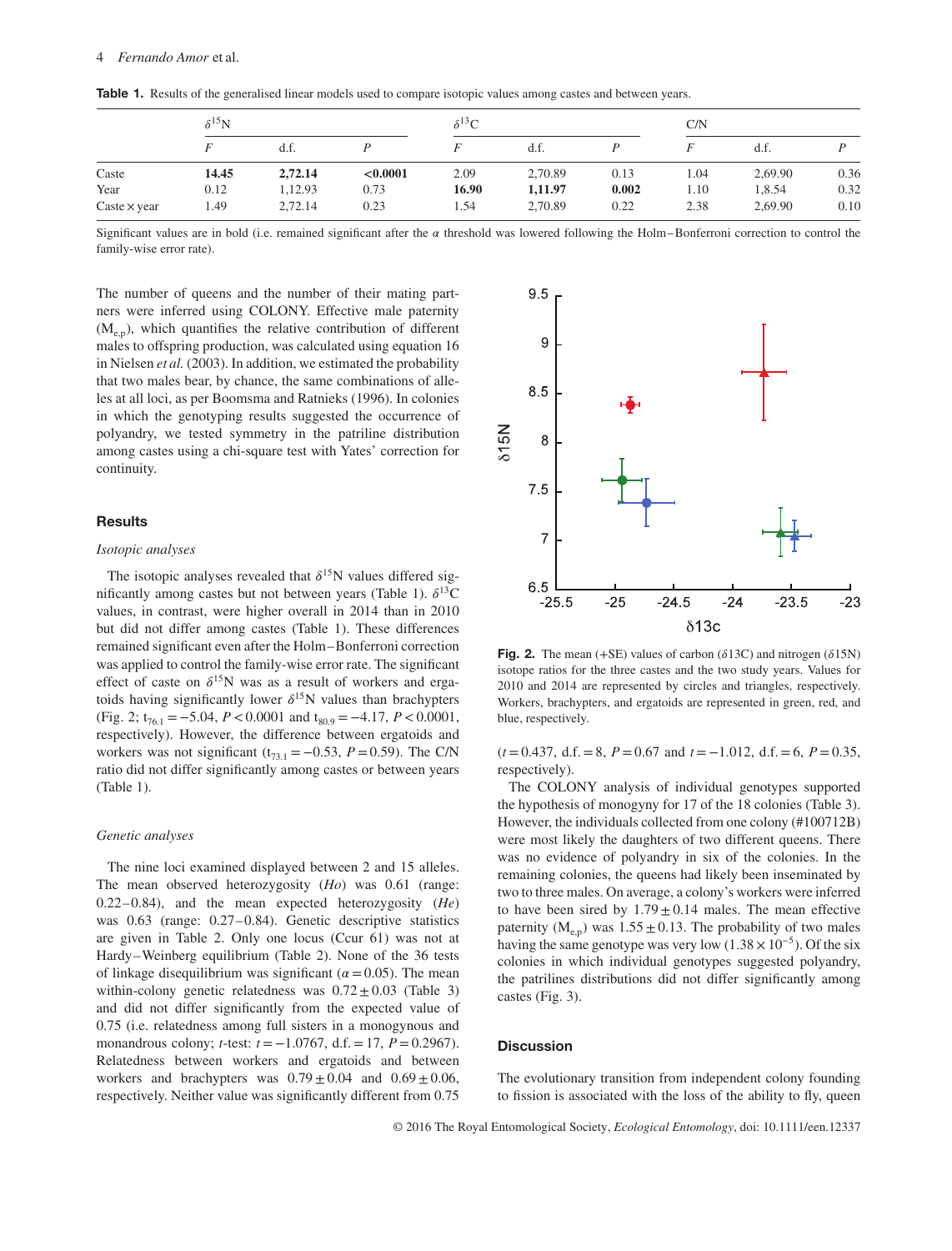|                     | $\delta^{15}$ N |         |          | $\delta^{13}$ C |         |       | C/N  |         |      |
|---------------------|-----------------|---------|----------|-----------------|---------|-------|------|---------|------|
|                     |                 | d.f.    |          |                 | d.f.    |       |      | d.f.    |      |
| Caste               | 14.45           | 2,72.14 | < 0.0001 | 2.09            | 2,70.89 | 0.13  | 1.04 | 2,69.90 | 0.36 |
| Year                | 0.12            | 1,12.93 | 0.73     | 16.90           | 1,11.97 | 0.002 | 1.10 | 1,8.54  | 0.32 |
| Caste $\times$ year | 1.49            | 2,72.14 | 0.23     | 1.54            | 2,70.89 | 0.22  | 2.38 | 2,69.90 | 0.10 |

**Table 1.** Results of the generalised linear models used to compare isotopic values among castes and between years.

Significant values are in bold (i.e. remained significant after the  $\alpha$  threshold was lowered following the Holm–Bonferroni correction to control the family-wise error rate).

The number of queens and the number of their mating partners were inferred using COLONY. Effective male paternity  $(M<sub>en</sub>)$ , which quantifies the relative contribution of different males to offspring production, was calculated using equation 16 in Nielsen *et al.* (2003). In addition, we estimated the probability that two males bear, by chance, the same combinations of alleles at all loci, as per Boomsma and Ratnieks (1996). In colonies in which the genotyping results suggested the occurrence of polyandry, we tested symmetry in the patriline distribution among castes using a chi-square test with Yates' correction for continuity.

# **Results**

#### *Isotopic analyses*

The isotopic analyses revealed that  $\delta^{15}N$  values differed significantly among castes but not between years (Table 1).  $\delta^{13}$ C values, in contrast, were higher overall in 2014 than in 2010 but did not differ among castes (Table 1). These differences remained significant even after the Holm–Bonferroni correction was applied to control the family-wise error rate. The significant effect of caste on  $\delta^{15}N$  was as a result of workers and ergatoids having significantly lower  $\delta^{15}N$  values than brachypters (Fig. 2;  $t_{76.1} = -5.04$ ,  $P < 0.0001$  and  $t_{80.9} = -4.17$ ,  $P < 0.0001$ , respectively). However, the difference between ergatoids and workers was not significant ( $t_{73.1} = -0.53$ ,  $P = 0.59$ ). The C/N ratio did not differ significantly among castes or between years (Table 1).

# *Genetic analyses*

The nine loci examined displayed between 2 and 15 alleles. The mean observed heterozygosity (*Ho*) was 0.61 (range: 0.22–0.84), and the mean expected heterozygosity (*He*) was 0.63 (range: 0.27–0.84). Genetic descriptive statistics are given in Table 2. Only one locus (Ccur 61) was not at Hardy–Weinberg equilibrium (Table 2). None of the 36 tests of linkage disequilibrium was significant ( $\alpha$  = 0.05). The mean within-colony genetic relatedness was  $0.72 \pm 0.03$  (Table 3) and did not differ significantly from the expected value of 0.75 (i.e. relatedness among full sisters in a monogynous and monandrous colony; *t*-test: *t* = −1.0767, d.f.=17, *P*=0.2967). Relatedness between workers and ergatoids and between workers and brachypters was  $0.79 \pm 0.04$  and  $0.69 \pm 0.06$ , respectively. Neither value was significantly different from 0.75



**Fig. 2.** The mean  $(+SE)$  values of carbon  $(\delta13C)$  and nitrogen  $(\delta15N)$ isotope ratios for the three castes and the two study years. Values for 2010 and 2014 are represented by circles and triangles, respectively. Workers, brachypters, and ergatoids are represented in green, red, and blue, respectively.

(*t* =0.437, d.f.=8, *P*=0.67 and *t* = −1.012, d.f.=6, *P*=0.35, respectively).

The COLONY analysis of individual genotypes supported the hypothesis of monogyny for 17 of the 18 colonies (Table 3). However, the individuals collected from one colony (#100712B) were most likely the daughters of two different queens. There was no evidence of polyandry in six of the colonies. In the remaining colonies, the queens had likely been inseminated by two to three males. On average, a colony's workers were inferred to have been sired by  $1.79 \pm 0.14$  males. The mean effective paternity ( $M_{e,p}$ ) was 1.55  $\pm$  0.13. The probability of two males having the same genotype was very low (1.38  $\times$  10<sup>-5</sup>). Of the six colonies in which individual genotypes suggested polyandry, the patrilines distributions did not differ significantly among castes (Fig. 3).

## **Discussion**

The evolutionary transition from independent colony founding to fission is associated with the loss of the ability to fly, queen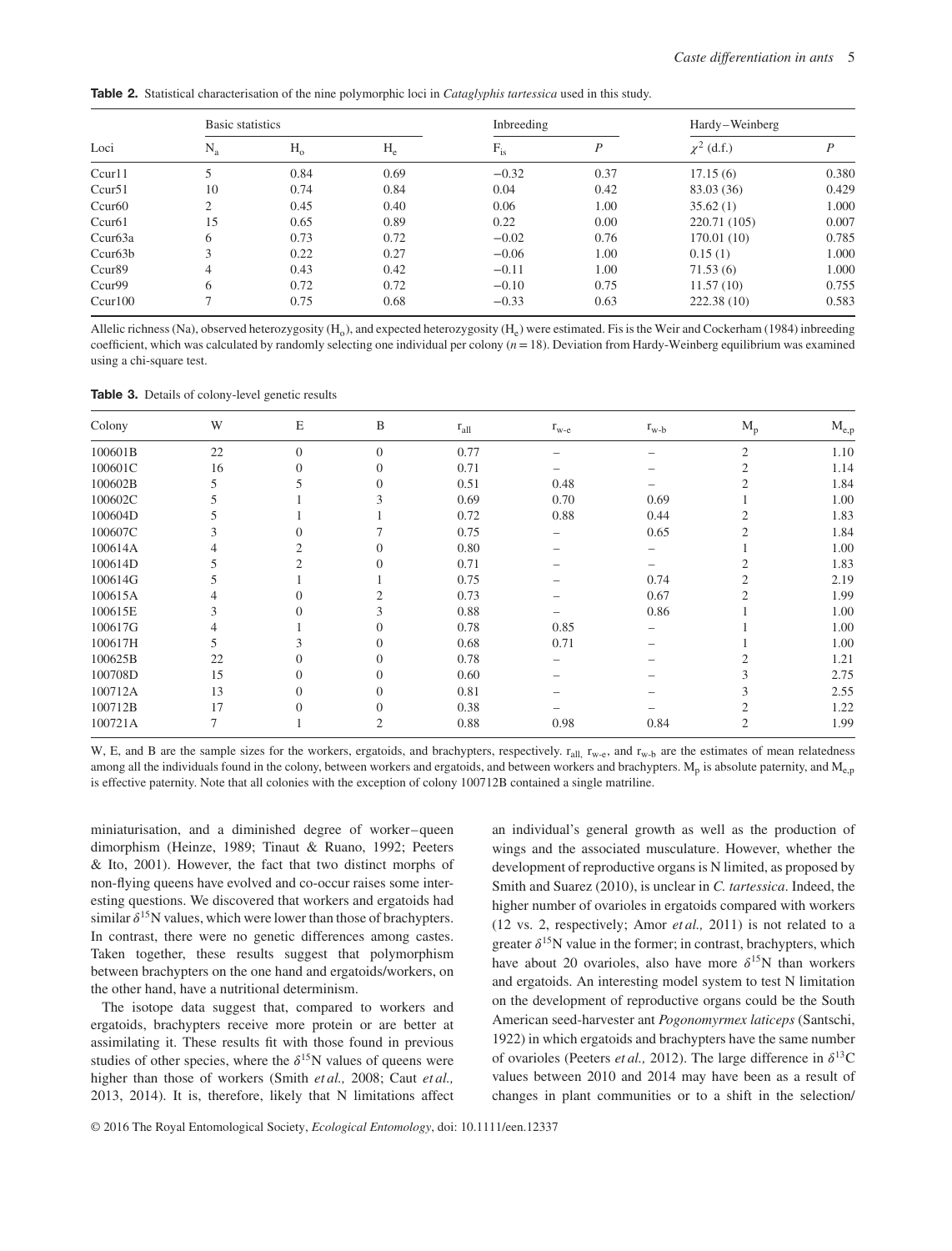**Table 2.** Statistical characterisation of the nine polymorphic loci in *Cataglyphis tartessica* used in this study.

| Loci               | Basic statistics |         |       | Inbreeding   |      | Hardy-Weinberg  |       |  |
|--------------------|------------------|---------|-------|--------------|------|-----------------|-------|--|
|                    | $N_{a}$          | $H_{o}$ | $H_e$ | $\rm F_{is}$ | P    | $\chi^2$ (d.f.) | P     |  |
| Ccur11             |                  | 0.84    | 0.69  | $-0.32$      | 0.37 | 17.15(6)        | 0.380 |  |
| Ccur <sub>51</sub> | 10               | 0.74    | 0.84  | 0.04         | 0.42 | 83.03 (36)      | 0.429 |  |
| Ccur60             | $\mathcal{L}$    | 0.45    | 0.40  | 0.06         | 1.00 | 35.62(1)        | 1.000 |  |
| Ccur61             | 15               | 0.65    | 0.89  | 0.22         | 0.00 | 220.71 (105)    | 0.007 |  |
| Ccur63a            | 6                | 0.73    | 0.72  | $-0.02$      | 0.76 | 170.01(10)      | 0.785 |  |
| Ccur63b            | 3                | 0.22    | 0.27  | $-0.06$      | 1.00 | 0.15(1)         | 1.000 |  |
| Ccur <sub>89</sub> | $\overline{4}$   | 0.43    | 0.42  | $-0.11$      | 1.00 | 71.53(6)        | 1.000 |  |
| Ccur99             | 6                | 0.72    | 0.72  | $-0.10$      | 0.75 | 11.57(10)       | 0.755 |  |
| Ccur100            | $\mathcal{L}$    | 0.75    | 0.68  | $-0.33$      | 0.63 | 222.38(10)      | 0.583 |  |

Allelic richness (Na), observed heterozygosity (H<sub>o</sub>), and expected heterozygosity (H<sub>e</sub>) were estimated. Fis is the Weir and Cockerham (1984) inbreeding coefficient, which was calculated by randomly selecting one individual per colony  $(n=18)$ . Deviation from Hardy-Weinberg equilibrium was examined using a chi-square test.

|  |  |  | <b>Table 3.</b> Details of colony-level genetic results |
|--|--|--|---------------------------------------------------------|
|--|--|--|---------------------------------------------------------|

| Colony  | W  | $\mathbf E$    | $\, {\bf B}$   | $r_{all}$ | $r_{w-e}$ | $r_{w-b}$ | $\rm M_p$      | $\rm M_{e,p}$ |
|---------|----|----------------|----------------|-----------|-----------|-----------|----------------|---------------|
| 100601B | 22 | $\overline{0}$ | $\overline{0}$ | 0.77      |           |           | $\overline{2}$ | 1.10          |
| 100601C | 16 | $\Omega$       | $\overline{0}$ | 0.71      |           |           | 2              | 1.14          |
| 100602B |    |                | $\Omega$       | 0.51      | 0.48      |           |                | 1.84          |
| 100602C |    |                |                | 0.69      | 0.70      | 0.69      |                | 1.00          |
| 100604D |    |                |                | 0.72      | 0.88      | 0.44      | 2              | 1.83          |
| 100607C | 3  |                |                | 0.75      |           | 0.65      |                | 1.84          |
| 100614A |    |                |                | 0.80      |           |           |                | 1.00          |
| 100614D |    |                |                | 0.71      |           |           |                | 1.83          |
| 100614G |    |                |                | 0.75      |           | 0.74      | 2              | 2.19          |
| 100615A |    |                |                | 0.73      |           | 0.67      | $\overline{c}$ | 1.99          |
| 100615E | 3  |                |                | 0.88      |           | 0.86      |                | 1.00          |
| 100617G | 4  |                | $\Omega$       | 0.78      | 0.85      |           |                | 1.00          |
| 100617H |    |                | $\theta$       | 0.68      | 0.71      |           |                | 1.00          |
| 100625B | 22 | 0              | $\Omega$       | 0.78      |           |           |                | 1.21          |
| 100708D | 15 | $\Omega$       | $\Omega$       | 0.60      |           |           |                | 2.75          |
| 100712A | 13 | $\Omega$       | $\Omega$       | 0.81      |           |           | 3              | 2.55          |
| 100712B | 17 | $\Omega$       | $\Omega$       | 0.38      |           |           | 2              | 1.22          |
| 100721A | 7  |                | 2              | 0.88      | 0.98      | 0.84      | 2              | 1.99          |

W, E, and B are the sample sizes for the workers, ergatoids, and brachypters, respectively.  $r_{all}$ ,  $r_{w-e}$ , and  $r_{w-b}$  are the estimates of mean relatedness among all the individuals found in the colony, between workers and ergatoids, and between workers and brachypters.  $M_p$  is absolute paternity, and  $M_{p,p}$ is effective paternity. Note that all colonies with the exception of colony 100712B contained a single matriline.

miniaturisation, and a diminished degree of worker–queen dimorphism (Heinze, 1989; Tinaut & Ruano, 1992; Peeters & Ito, 2001). However, the fact that two distinct morphs of non-flying queens have evolved and co-occur raises some interesting questions. We discovered that workers and ergatoids had similar  $\delta^{15}N$  values, which were lower than those of brachypters. In contrast, there were no genetic differences among castes. Taken together, these results suggest that polymorphism between brachypters on the one hand and ergatoids/workers, on the other hand, have a nutritional determinism.

The isotope data suggest that, compared to workers and ergatoids, brachypters receive more protein or are better at assimilating it. These results fit with those found in previous studies of other species, where the  $\delta^{15}N$  values of queens were higher than those of workers (Smith *et al.,* 2008; Caut *et al.,* 2013, 2014). It is, therefore, likely that N limitations affect an individual's general growth as well as the production of wings and the associated musculature. However, whether the development of reproductive organs is N limited, as proposed by Smith and Suarez (2010), is unclear in *C. tartessica*. Indeed, the higher number of ovarioles in ergatoids compared with workers (12 vs. 2, respectively; Amor *et al.,* 2011) is not related to a greater  $\delta^{15}N$  value in the former; in contrast, brachypters, which have about 20 ovarioles, also have more  $\delta^{15}N$  than workers and ergatoids. An interesting model system to test N limitation on the development of reproductive organs could be the South American seed-harvester ant *Pogonomyrmex laticeps* (Santschi, 1922) in which ergatoids and brachypters have the same number of ovarioles (Peeters *et al.*, 2012). The large difference in  $\delta^{13}$ C values between 2010 and 2014 may have been as a result of changes in plant communities or to a shift in the selection/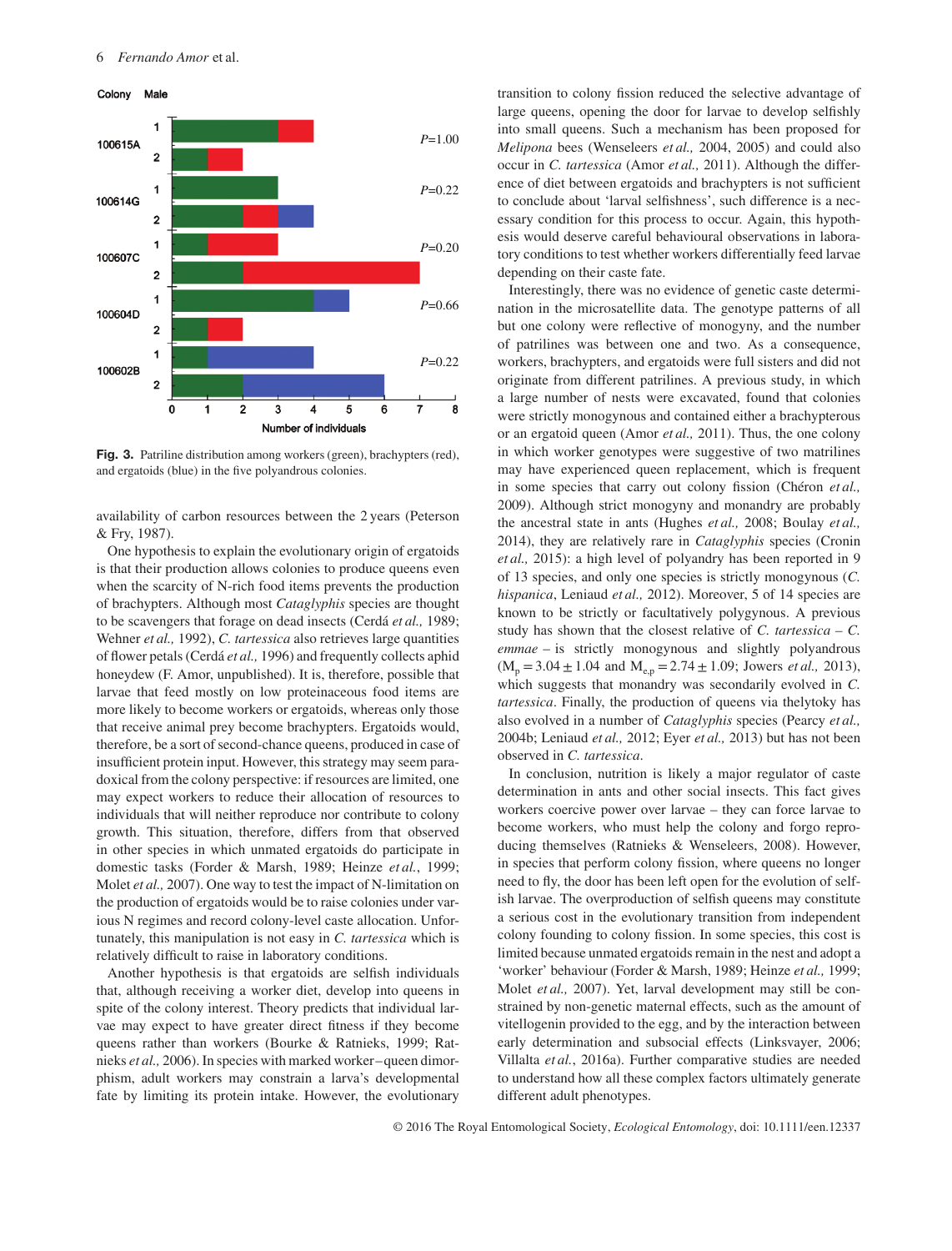

**Fig. 3.** Patriline distribution among workers (green), brachypters (red), and ergatoids (blue) in the five polyandrous colonies.

availability of carbon resources between the 2 years (Peterson & Fry, 1987).

One hypothesis to explain the evolutionary origin of ergatoids is that their production allows colonies to produce queens even when the scarcity of N-rich food items prevents the production of brachypters. Although most *Cataglyphis* species are thought to be scavengers that forage on dead insects (Cerdá *et al.,* 1989; Wehner *et al.,* 1992), *C. tartessica* also retrieves large quantities of flower petals (Cerdá *et al.,* 1996) and frequently collects aphid honeydew (F. Amor, unpublished). It is, therefore, possible that larvae that feed mostly on low proteinaceous food items are more likely to become workers or ergatoids, whereas only those that receive animal prey become brachypters. Ergatoids would, therefore, be a sort of second-chance queens, produced in case of insufficient protein input. However, this strategy may seem paradoxical from the colony perspective: if resources are limited, one may expect workers to reduce their allocation of resources to individuals that will neither reproduce nor contribute to colony growth. This situation, therefore, differs from that observed in other species in which unmated ergatoids do participate in domestic tasks (Forder & Marsh, 1989; Heinze *et al.*, 1999; Molet *et al.,* 2007). One way to test the impact of N-limitation on the production of ergatoids would be to raise colonies under various N regimes and record colony-level caste allocation. Unfortunately, this manipulation is not easy in *C. tartessica* which is relatively difficult to raise in laboratory conditions.

Another hypothesis is that ergatoids are selfish individuals that, although receiving a worker diet, develop into queens in spite of the colony interest. Theory predicts that individual larvae may expect to have greater direct fitness if they become queens rather than workers (Bourke & Ratnieks, 1999; Ratnieks *et al.,* 2006). In species with marked worker–queen dimorphism, adult workers may constrain a larva's developmental fate by limiting its protein intake. However, the evolutionary transition to colony fission reduced the selective advantage of large queens, opening the door for larvae to develop selfishly into small queens. Such a mechanism has been proposed for *Melipona* bees (Wenseleers *et al.,* 2004, 2005) and could also occur in *C. tartessica* (Amor *et al.,* 2011). Although the difference of diet between ergatoids and brachypters is not sufficient to conclude about 'larval selfishness', such difference is a necessary condition for this process to occur. Again, this hypothesis would deserve careful behavioural observations in laboratory conditions to test whether workers differentially feed larvae depending on their caste fate.

Interestingly, there was no evidence of genetic caste determination in the microsatellite data. The genotype patterns of all but one colony were reflective of monogyny, and the number of patrilines was between one and two. As a consequence, workers, brachypters, and ergatoids were full sisters and did not originate from different patrilines. A previous study, in which a large number of nests were excavated, found that colonies were strictly monogynous and contained either a brachypterous or an ergatoid queen (Amor *et al.,* 2011). Thus, the one colony in which worker genotypes were suggestive of two matrilines may have experienced queen replacement, which is frequent in some species that carry out colony fission (Chéron *et al.,* 2009). Although strict monogyny and monandry are probably the ancestral state in ants (Hughes *et al.,* 2008; Boulay *et al.,* 2014), they are relatively rare in *Cataglyphis* species (Cronin *et al.,* 2015): a high level of polyandry has been reported in 9 of 13 species, and only one species is strictly monogynous (*C. hispanica*, Leniaud *et al.,* 2012). Moreover, 5 of 14 species are known to be strictly or facultatively polygynous. A previous study has shown that the closest relative of *C. tartessica – C. emmae* – is strictly monogynous and slightly polyandrous  $(M_p = 3.04 \pm 1.04$  and  $M_{e,p} = 2.74 \pm 1.09$ ; Jowers *et al.*, 2013), which suggests that monandry was secondarily evolved in *C. tartessica*. Finally, the production of queens via thelytoky has also evolved in a number of *Cataglyphis* species (Pearcy *et al.,* 2004b; Leniaud *et al.,* 2012; Eyer *et al.,* 2013) but has not been observed in *C. tartessica*.

In conclusion, nutrition is likely a major regulator of caste determination in ants and other social insects. This fact gives workers coercive power over larvae – they can force larvae to become workers, who must help the colony and forgo reproducing themselves (Ratnieks & Wenseleers, 2008). However, in species that perform colony fission, where queens no longer need to fly, the door has been left open for the evolution of selfish larvae. The overproduction of selfish queens may constitute a serious cost in the evolutionary transition from independent colony founding to colony fission. In some species, this cost is limited because unmated ergatoids remain in the nest and adopt a 'worker' behaviour (Forder & Marsh, 1989; Heinze *et al.,* 1999; Molet *et al.,* 2007). Yet, larval development may still be constrained by non-genetic maternal effects, such as the amount of vitellogenin provided to the egg, and by the interaction between early determination and subsocial effects (Linksvayer, 2006; Villalta *et al.*, 2016a). Further comparative studies are needed to understand how all these complex factors ultimately generate different adult phenotypes.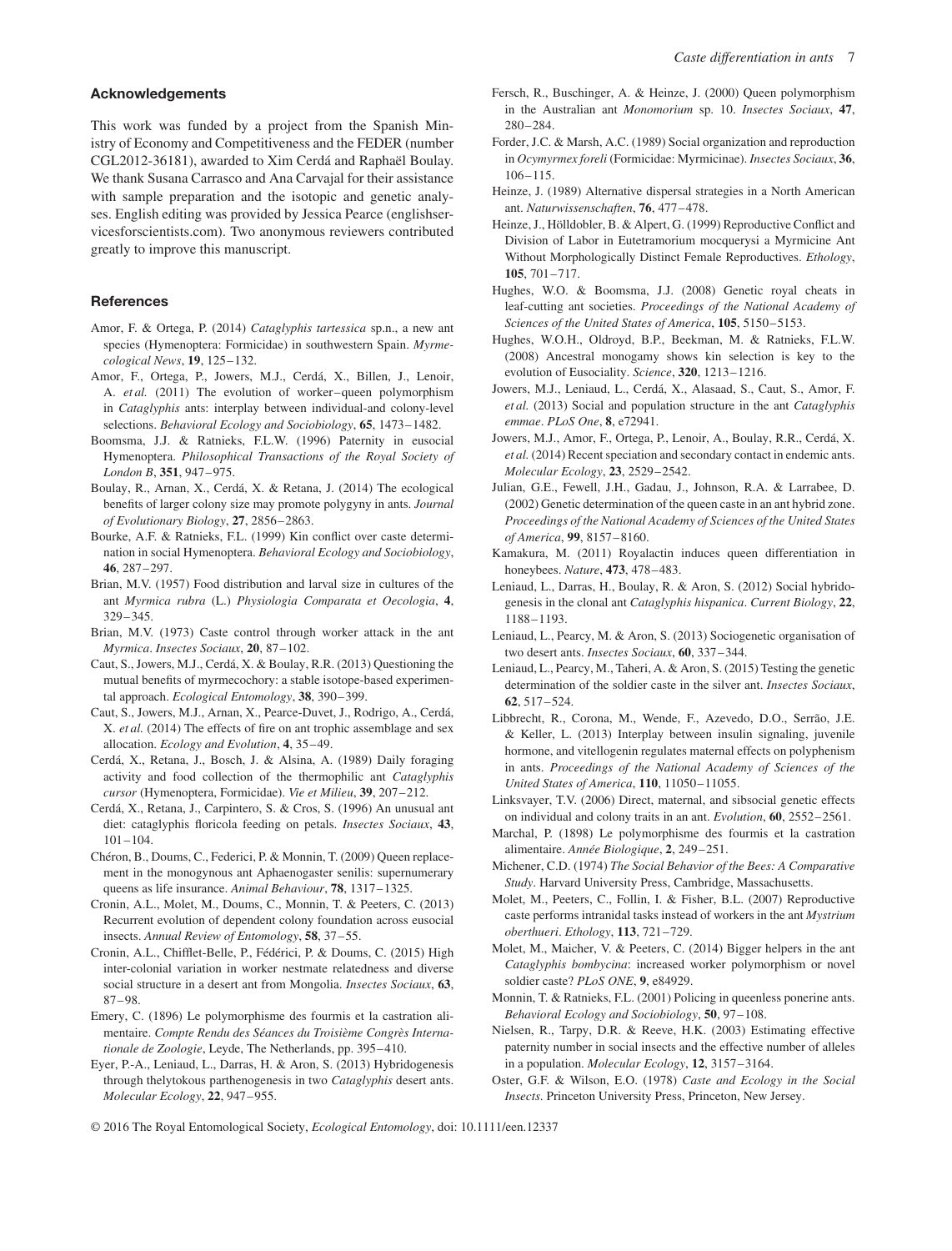# **Acknowledgements**

This work was funded by a project from the Spanish Ministry of Economy and Competitiveness and the FEDER (number CGL2012-36181), awarded to Xim Cerdá and Raphaël Boulay. We thank Susana Carrasco and Ana Carvajal for their assistance with sample preparation and the isotopic and genetic analyses. English editing was provided by Jessica Pearce (englishservicesforscientists.com). Two anonymous reviewers contributed greatly to improve this manuscript.

# **References**

- Amor, F. & Ortega, P. (2014) *Cataglyphis tartessica* sp.n., a new ant species (Hymenoptera: Formicidae) in southwestern Spain. *Myrmecological News*, **19**, 125–132.
- Amor, F., Ortega, P., Jowers, M.J., Cerdá, X., Billen, J., Lenoir, A. *et al.* (2011) The evolution of worker–queen polymorphism in *Cataglyphis* ants: interplay between individual-and colony-level selections. *Behavioral Ecology and Sociobiology*, **65**, 1473–1482.
- Boomsma, J.J. & Ratnieks, F.L.W. (1996) Paternity in eusocial Hymenoptera. *Philosophical Transactions of the Royal Society of London B*, **351**, 947–975.
- Boulay, R., Arnan, X., Cerdá, X. & Retana, J. (2014) The ecological benefits of larger colony size may promote polygyny in ants. *Journal of Evolutionary Biology*, **27**, 2856–2863.
- Bourke, A.F. & Ratnieks, F.L. (1999) Kin conflict over caste determination in social Hymenoptera. *Behavioral Ecology and Sociobiology*, **46**, 287–297.
- Brian, M.V. (1957) Food distribution and larval size in cultures of the ant *Myrmica rubra* (L.) *Physiologia Comparata et Oecologia*, **4**, 329–345.
- Brian, M.V. (1973) Caste control through worker attack in the ant *Myrmica*. *Insectes Sociaux*, **20**, 87–102.
- Caut, S., Jowers, M.J., Cerdá, X. & Boulay, R.R. (2013) Questioning the mutual benefits of myrmecochory: a stable isotope-based experimental approach. *Ecological Entomology*, **38**, 390–399.
- Caut, S., Jowers, M.J., Arnan, X., Pearce-Duvet, J., Rodrigo, A., Cerdá, X. *et al.* (2014) The effects of fire on ant trophic assemblage and sex allocation. *Ecology and Evolution*, **4**, 35–49.
- Cerdá, X., Retana, J., Bosch, J. & Alsina, A. (1989) Daily foraging activity and food collection of the thermophilic ant *Cataglyphis cursor* (Hymenoptera, Formicidae). *Vie et Milieu*, **39**, 207–212.
- Cerdá, X., Retana, J., Carpintero, S. & Cros, S. (1996) An unusual ant diet: cataglyphis floricola feeding on petals. *Insectes Sociaux*, **43**, 101–104.
- Chéron, B., Doums, C., Federici, P. & Monnin, T. (2009) Queen replacement in the monogynous ant Aphaenogaster senilis: supernumerary queens as life insurance. *Animal Behaviour*, **78**, 1317–1325.
- Cronin, A.L., Molet, M., Doums, C., Monnin, T. & Peeters, C. (2013) Recurrent evolution of dependent colony foundation across eusocial insects. *Annual Review of Entomology*, **58**, 37–55.
- Cronin, A.L., Chifflet-Belle, P., Fédérici, P. & Doums, C. (2015) High inter-colonial variation in worker nestmate relatedness and diverse social structure in a desert ant from Mongolia. *Insectes Sociaux*, **63**, 87–98.
- Emery, C. (1896) Le polymorphisme des fourmis et la castration alimentaire. *Compte Rendu des Séances du Troisième Congrès Internationale de Zoologie*, Leyde, The Netherlands, pp. 395–410.
- Eyer, P.-A., Leniaud, L., Darras, H. & Aron, S. (2013) Hybridogenesis through thelytokous parthenogenesis in two *Cataglyphis* desert ants. *Molecular Ecology*, **22**, 947–955.
- Fersch, R., Buschinger, A. & Heinze, J. (2000) Queen polymorphism in the Australian ant *Monomorium* sp. 10. *Insectes Sociaux*, **47**, 280–284.
- Forder, J.C. & Marsh, A.C. (1989) Social organization and reproduction in *Ocymyrmex foreli* (Formicidae: Myrmicinae). *Insectes Sociaux*, **36**, 106–115.
- Heinze, J. (1989) Alternative dispersal strategies in a North American ant. *Naturwissenschaften*, **76**, 477–478.
- Heinze, J., Hölldobler, B. & Alpert, G. (1999) Reproductive Conflict and Division of Labor in Eutetramorium mocquerysi a Myrmicine Ant Without Morphologically Distinct Female Reproductives. *Ethology*, **105**, 701–717.
- Hughes, W.O. & Boomsma, J.J. (2008) Genetic royal cheats in leaf-cutting ant societies. *Proceedings of the National Academy of Sciences of the United States of America*, **105**, 5150–5153.
- Hughes, W.O.H., Oldroyd, B.P., Beekman, M. & Ratnieks, F.L.W. (2008) Ancestral monogamy shows kin selection is key to the evolution of Eusociality. *Science*, **320**, 1213–1216.
- Jowers, M.J., Leniaud, L., Cerdá, X., Alasaad, S., Caut, S., Amor, F. *et al.* (2013) Social and population structure in the ant *Cataglyphis emmae*. *PLoS One*, **8**, e72941.
- Jowers, M.J., Amor, F., Ortega, P., Lenoir, A., Boulay, R.R., Cerdá, X. *et al.* (2014) Recent speciation and secondary contact in endemic ants. *Molecular Ecology*, **23**, 2529–2542.
- Julian, G.E., Fewell, J.H., Gadau, J., Johnson, R.A. & Larrabee, D. (2002) Genetic determination of the queen caste in an ant hybrid zone. *Proceedings of the National Academy of Sciences of the United States of America*, **99**, 8157–8160.
- Kamakura, M. (2011) Royalactin induces queen differentiation in honeybees. *Nature*, **473**, 478–483.
- Leniaud, L., Darras, H., Boulay, R. & Aron, S. (2012) Social hybridogenesis in the clonal ant *Cataglyphis hispanica*. *Current Biology*, **22**, 1188–1193.
- Leniaud, L., Pearcy, M. & Aron, S. (2013) Sociogenetic organisation of two desert ants. *Insectes Sociaux*, **60**, 337–344.
- Leniaud, L., Pearcy, M., Taheri, A. & Aron, S. (2015) Testing the genetic determination of the soldier caste in the silver ant. *Insectes Sociaux*, **62**, 517–524.
- Libbrecht, R., Corona, M., Wende, F., Azevedo, D.O., Serrão, J.E. & Keller, L. (2013) Interplay between insulin signaling, juvenile hormone, and vitellogenin regulates maternal effects on polyphenism in ants. *Proceedings of the National Academy of Sciences of the United States of America*, **110**, 11050–11055.
- Linksvayer, T.V. (2006) Direct, maternal, and sibsocial genetic effects on individual and colony traits in an ant. *Evolution*, **60**, 2552–2561.
- Marchal, P. (1898) Le polymorphisme des fourmis et la castration alimentaire. *Année Biologique*, **2**, 249–251.
- Michener, C.D. (1974) *The Social Behavior of the Bees: A Comparative Study*. Harvard University Press, Cambridge, Massachusetts.
- Molet, M., Peeters, C., Follin, I. & Fisher, B.L. (2007) Reproductive caste performs intranidal tasks instead of workers in the ant *Mystrium oberthueri*. *Ethology*, **113**, 721–729.
- Molet, M., Maicher, V. & Peeters, C. (2014) Bigger helpers in the ant *Cataglyphis bombycina*: increased worker polymorphism or novel soldier caste? *PLoS ONE*, **9**, e84929.
- Monnin, T. & Ratnieks, F.L. (2001) Policing in queenless ponerine ants. *Behavioral Ecology and Sociobiology*, **50**, 97–108.
- Nielsen, R., Tarpy, D.R. & Reeve, H.K. (2003) Estimating effective paternity number in social insects and the effective number of alleles in a population. *Molecular Ecology*, **12**, 3157–3164.
- Oster, G.F. & Wilson, E.O. (1978) *Caste and Ecology in the Social Insects*. Princeton University Press, Princeton, New Jersey.
- © 2016 The Royal Entomological Society, *Ecological Entomology*, doi: 10.1111/een.12337